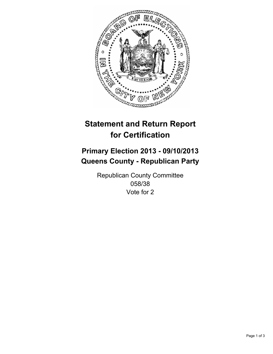

# **Statement and Return Report for Certification**

# **Primary Election 2013 - 09/10/2013 Queens County - Republican Party**

Republican County Committee 058/38 Vote for 2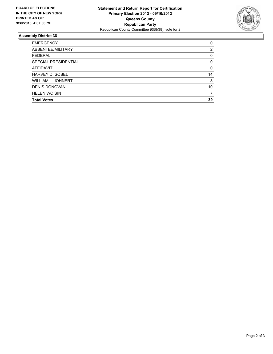

## **Assembly District 38**

| <b>EMERGENCY</b>       | 0        |
|------------------------|----------|
| ABSENTEE/MILITARY      | 2        |
| <b>FEDERAL</b>         | 0        |
| SPECIAL PRESIDENTIAL   | 0        |
| <b>AFFIDAVIT</b>       | $\Omega$ |
| <b>HARVEY D. SOBEL</b> | 14       |
| WILLIAM J. JOHNERT     | 8        |
| <b>DENIS DONOVAN</b>   | 10       |
| <b>HELEN WOISIN</b>    | 7        |
| <b>Total Votes</b>     | 39       |
|                        |          |